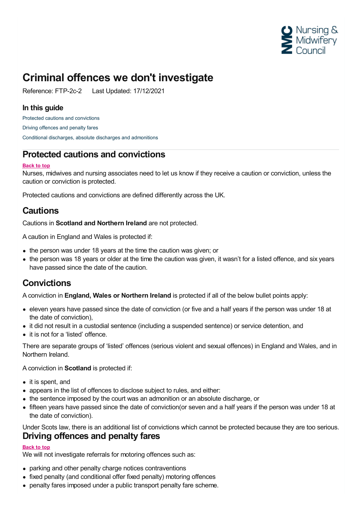

# **Criminal offences we don't investigate**

Reference: FTP-2c-2 Last Updated: 17/12/2021

#### **In this guide**

Protected cautions and [convictions](#page-0-0) Driving [offences](#page-0-1) and penalty fares Conditional discharges, absolute discharges and [admonitions](#page-1-0)

### <span id="page-0-0"></span>**Protected cautions and convictions**

#### **Back to top**

Nurses, midwives and nursing associates need to let us know if they receive a caution or conviction, unless the caution or conviction is protected.

Protected cautions and convictions are defined differently across the UK.

### **Cautions**

Cautions in **Scotland and Northern Ireland** are not protected.

A caution in England and Wales is protected if:

- the person was under 18 years at the time the caution was given; or
- the person was 18 years or older at the time the caution was given, it wasn't for a listed offence, and six years have passed since the date of the caution.

### **Convictions**

A conviction in **England, Wales or Northern Ireland** is protected if all of the below bullet points apply:

- eleven years have passed since the date of conviction (or five and a half years if the person was under 18 at the date of conviction),
- it did not result in a custodial sentence (including a suspended sentence) or service detention, and
- it is not for a 'listed' offence.

There are separate groups of 'listed' offences (serious violent and sexual offences) in England and Wales, and in Northern Ireland.

A conviction in **Scotland** is protected if:

- it is spent, and
- appears in the list of offences to disclose subject to rules, and either:
- the sentence imposed by the court was an admonition or an absolute discharge, or
- fifteen years have passed since the date of conviction(or seven and a half years if the person was under 18 at the date of conviction).

<span id="page-0-1"></span>Under Scots law, there is an additional list of convictions which cannot be protected because they are too serious. **Driving offences and penalty fares**

#### **Back to top**

We will not investigate referrals for motoring offences such as:

- parking and other penalty charge notices contraventions
- fixed penalty (and conditional offer fixed penalty) motoring offences
- penalty fares imposed under a public transport penalty fare scheme.